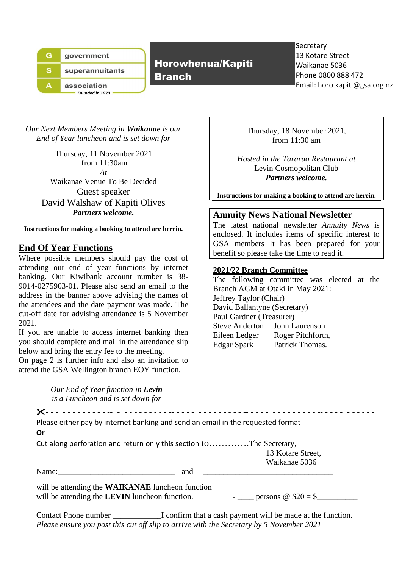|   | government                            |
|---|---------------------------------------|
| s | superannuitants                       |
|   | association<br><b>Founded in 1920</b> |

Horowhenua/Kapiti

Branch

**Secretary** 13 Kotare Street Waikanae 5036 Phone 0800 888 472 Email: horo.kapiti@gsa.org.nz

*Our Next Members Meeting in Waikanae is our End of Year luncheon and is set down for* 

Thursday, 11 November 2021 from 11:30am *At* Waikanae Venue To Be Decided Guest speaker David Walshaw of Kapiti Olives *Partners welcome.*

**Instructions for making a booking to attend are herein.**

# **End Of Year Functions**

Where possible members should pay the cost of attending our end of year functions by internet banking. Our Kiwibank account number is 38- 9014-0275903-01. Please also send an email to the address in the banner above advising the names of the attendees and the date payment was made. The cut-off date for advising attendance is 5 November 2021.

If you are unable to access internet banking then you should complete and mail in the attendance slip below and bring the entry fee to the meeting.

On page 2 is further info and also an invitation to attend the GSA Wellington branch EOY function.

> *Our End of Year function in Levin is a Luncheon and is set down for*

Thursday, 18 November 2021, from 11:30 am

*Hosted in the Tararua Restaurant at* Levin Cosmopolitan Club *Partners welcome.*

**Instructions for making a booking to attend are herein.**

#### **Annuity News National Newsletter**

The latest national newsletter *Annuity News* is enclosed. It includes items of specific interest to GSA members It has been prepared for your benefit so please take the time to read it.

#### **2021/22 Branch Committee**

The following committee was elected at the Branch AGM at Otaki in May 2021: Jeffrey Taylor (Chair) David Ballantyne (Secretary) Paul Gardner (Treasurer) Steve Anderton John Laurenson Eileen Ledger Roger Pitchforth, Edgar Spark Patrick Thomas.

| Please either pay by internet banking and send an email in the requested format                                                                                                                                                                                                                                                                                                                                           |  |
|---------------------------------------------------------------------------------------------------------------------------------------------------------------------------------------------------------------------------------------------------------------------------------------------------------------------------------------------------------------------------------------------------------------------------|--|
| 0r                                                                                                                                                                                                                                                                                                                                                                                                                        |  |
| Cut along perforation and return only this section toThe Secretary,                                                                                                                                                                                                                                                                                                                                                       |  |
| 13 Kotare Street,                                                                                                                                                                                                                                                                                                                                                                                                         |  |
| Waikanae 5036                                                                                                                                                                                                                                                                                                                                                                                                             |  |
| Name: $\frac{1}{2}$ $\frac{1}{2}$ $\frac{1}{2}$ $\frac{1}{2}$ $\frac{1}{2}$ $\frac{1}{2}$ $\frac{1}{2}$ $\frac{1}{2}$ $\frac{1}{2}$ $\frac{1}{2}$ $\frac{1}{2}$ $\frac{1}{2}$ $\frac{1}{2}$ $\frac{1}{2}$ $\frac{1}{2}$ $\frac{1}{2}$ $\frac{1}{2}$ $\frac{1}{2}$ $\frac{1}{2}$ $\frac{1}{2}$ $\frac{1}{2}$ $\frac{1$<br>and<br>the control of the control of the control of the control of the control of the control of |  |
| will be attending the <b>WAIKANAE</b> luncheon function<br>will be attending the LEVIN luncheon function. $\qquad \qquad - \qquad \qquad$ persons $\textcircled{ } $20 = $$                                                                                                                                                                                                                                               |  |
|                                                                                                                                                                                                                                                                                                                                                                                                                           |  |
|                                                                                                                                                                                                                                                                                                                                                                                                                           |  |
| Please ensure you post this cut off slip to arrive with the Secretary by 5 November 2021                                                                                                                                                                                                                                                                                                                                  |  |